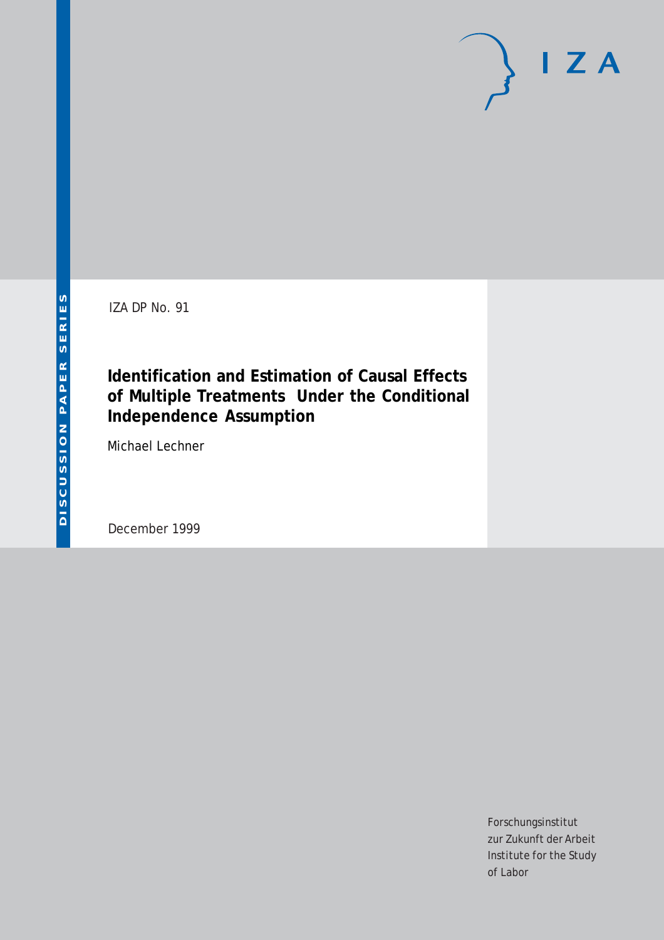IZA DP No. 91

## **Identification and Estimation of Causal Effects of Multiple Treatments Under the Conditional Independence Assumption**

Michael Lechner

December 1999

Forschungsinstitut zur Zukunft der Arbeit Institute for the Study of Labor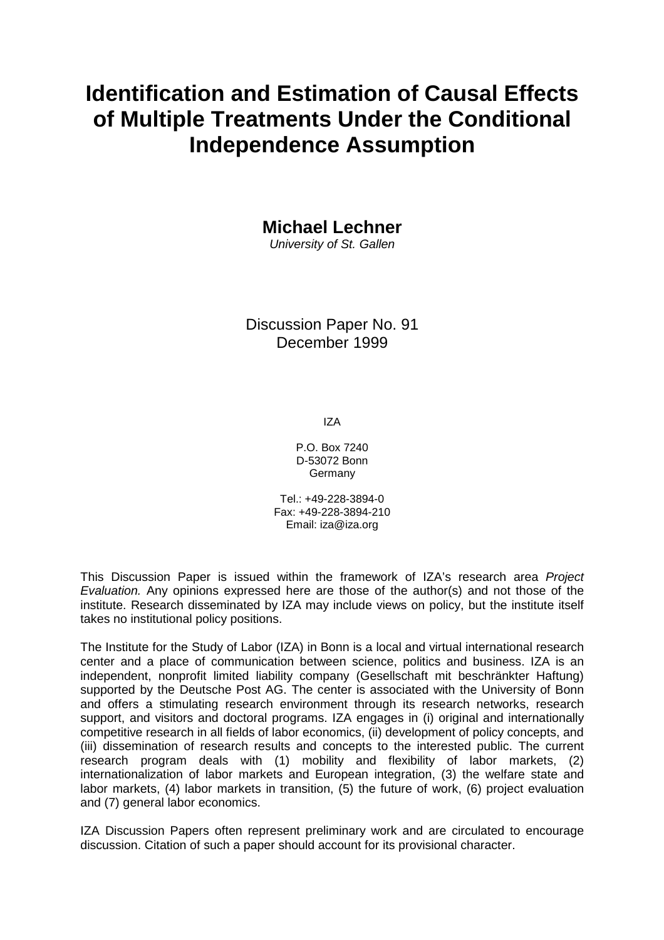# **Identification and Estimation of Causal Effects of Multiple Treatments Under the Conditional Independence Assumption**

**Michael Lechner** 

University of St. Gallen

Discussion Paper No. 91 December 1999

IZA

P.O. Box 7240 D-53072 Bonn Germany

Tel.: +49-228-3894-0 Fax: +49-228-3894-210 Email: iza@iza.org

This Discussion Paper is issued within the framework of IZA's research area Project Evaluation. Any opinions expressed here are those of the author(s) and not those of the institute. Research disseminated by IZA may include views on policy, but the institute itself takes no institutional policy positions.

The Institute for the Study of Labor (IZA) in Bonn is a local and virtual international research center and a place of communication between science, politics and business. IZA is an independent, nonprofit limited liability company (Gesellschaft mit beschränkter Haftung) supported by the Deutsche Post AG. The center is associated with the University of Bonn and offers a stimulating research environment through its research networks, research support, and visitors and doctoral programs. IZA engages in (i) original and internationally competitive research in all fields of labor economics, (ii) development of policy concepts, and (iii) dissemination of research results and concepts to the interested public. The current research program deals with (1) mobility and flexibility of labor markets, (2) internationalization of labor markets and European integration, (3) the welfare state and labor markets, (4) labor markets in transition, (5) the future of work, (6) project evaluation and (7) general labor economics.

IZA Discussion Papers often represent preliminary work and are circulated to encourage discussion. Citation of such a paper should account for its provisional character.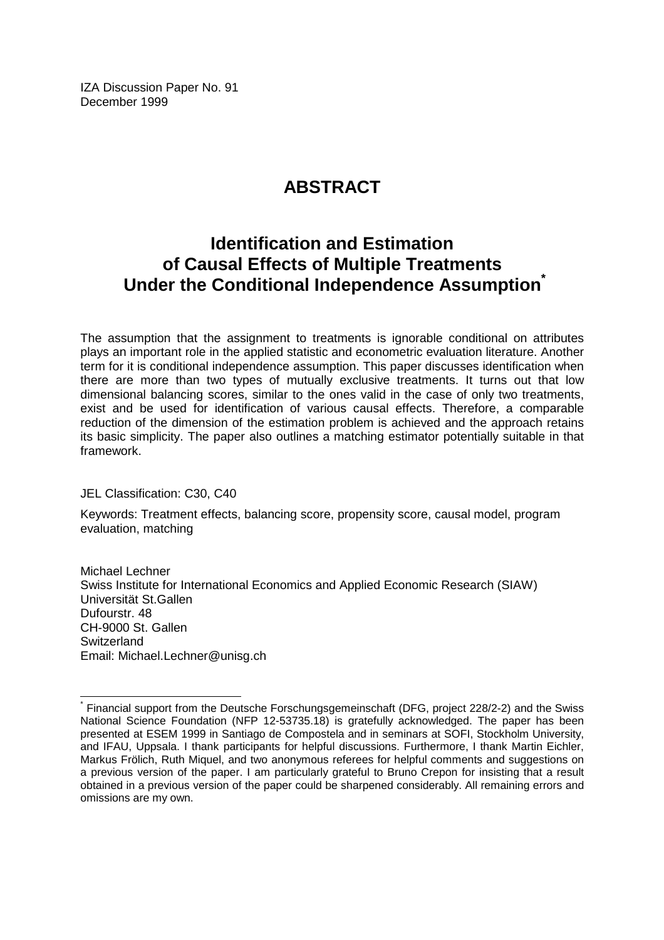IZA Discussion Paper No. 91 December 1999

## **ABSTRACT**

## **Identification and Estimation of Causal Effects of Multiple Treatments Under the Conditional Independence Assumption**

The assumption that the assignment to treatments is ignorable conditional on attributes plays an important role in the applied statistic and econometric evaluation literature. Another term for it is conditional independence assumption. This paper discusses identification when there are more than two types of mutually exclusive treatments. It turns out that low dimensional balancing scores, similar to the ones valid in the case of only two treatments, exist and be used for identification of various causal effects. Therefore, a comparable reduction of the dimension of the estimation problem is achieved and the approach retains its basic simplicity. The paper also outlines a matching estimator potentially suitable in that framework.

JEL Classification: C30, C40

 $\overline{a}$ 

Keywords: Treatment effects, balancing score, propensity score, causal model, program evaluation, matching

Michael Lechner Swiss Institute for International Economics and Applied Economic Research (SIAW) Universität St.Gallen Dufourstr. 48 CH-9000 St. Gallen **Switzerland** Email: Michael.Lechner@unisg.ch

<sup>\*</sup> Financial support from the Deutsche Forschungsgemeinschaft (DFG, project 228/2-2) and the Swiss National Science Foundation (NFP 12-53735.18) is gratefully acknowledged. The paper has been presented at ESEM 1999 in Santiago de Compostela and in seminars at SOFI, Stockholm University, and IFAU, Uppsala. I thank participants for helpful discussions. Furthermore, I thank Martin Eichler, Markus Frölich, Ruth Miquel, and two anonymous referees for helpful comments and suggestions on a previous version of the paper. I am particularly grateful to Bruno Crepon for insisting that a result obtained in a previous version of the paper could be sharpened considerably. All remaining errors and omissions are my own.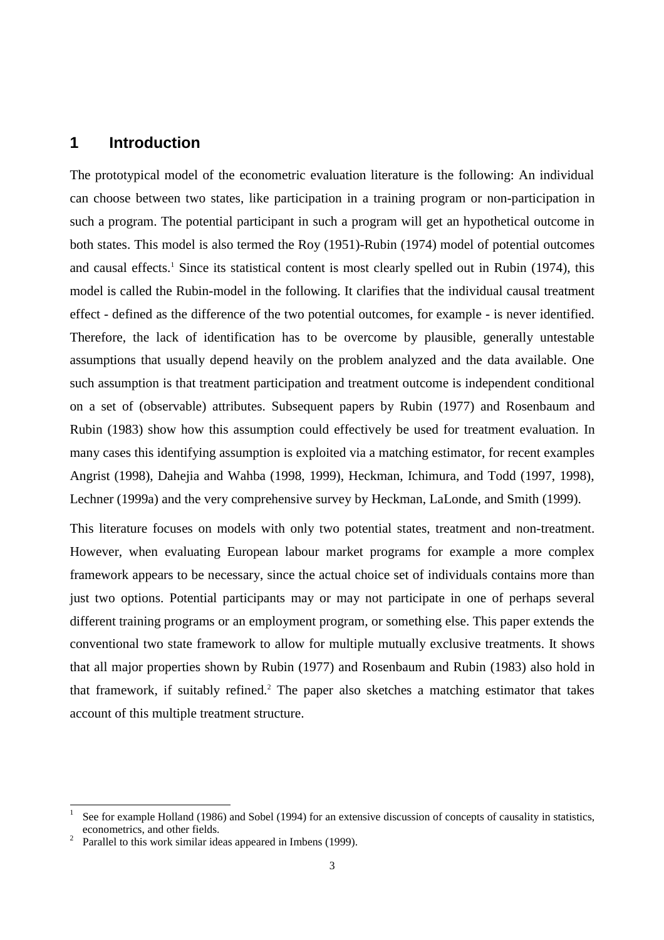### **1 Introduction**

The prototypical model of the econometric evaluation literature is the following: An individual can choose between two states, like participation in a training program or non-participation in such a program. The potential participant in such a program will get an hypothetical outcome in both states. This model is also termed the Roy (1951)-Rubin (1974) model of potential outcomes and causal effects.<sup>1</sup> Since its statistical content is most clearly spelled out in Rubin (1974), this model is called the Rubin-model in the following. It clarifies that the individual causal treatment effect - defined as the difference of the two potential outcomes, for example - is never identified. Therefore, the lack of identification has to be overcome by plausible, generally untestable assumptions that usually depend heavily on the problem analyzed and the data available. One such assumption is that treatment participation and treatment outcome is independent conditional on a set of (observable) attributes. Subsequent papers by Rubin (1977) and Rosenbaum and Rubin (1983) show how this assumption could effectively be used for treatment evaluation. In many cases this identifying assumption is exploited via a matching estimator, for recent examples Angrist (1998), Dahejia and Wahba (1998, 1999), Heckman, Ichimura, and Todd (1997, 1998), Lechner (1999a) and the very comprehensive survey by Heckman, LaLonde, and Smith (1999).

This literature focuses on models with only two potential states, treatment and non-treatment. However, when evaluating European labour market programs for example a more complex framework appears to be necessary, since the actual choice set of individuals contains more than just two options. Potential participants may or may not participate in one of perhaps several different training programs or an employment program, or something else. This paper extends the conventional two state framework to allow for multiple mutually exclusive treatments. It shows that all major properties shown by Rubin (1977) and Rosenbaum and Rubin (1983) also hold in that framework, if suitably refined.<sup>2</sup> The paper also sketches a matching estimator that takes account of this multiple treatment structure.

-

<sup>1</sup> See for example Holland (1986) and Sobel (1994) for an extensive discussion of concepts of causality in statistics, econometrics, and other fields. <sup>2</sup>

Parallel to this work similar ideas appeared in Imbens (1999).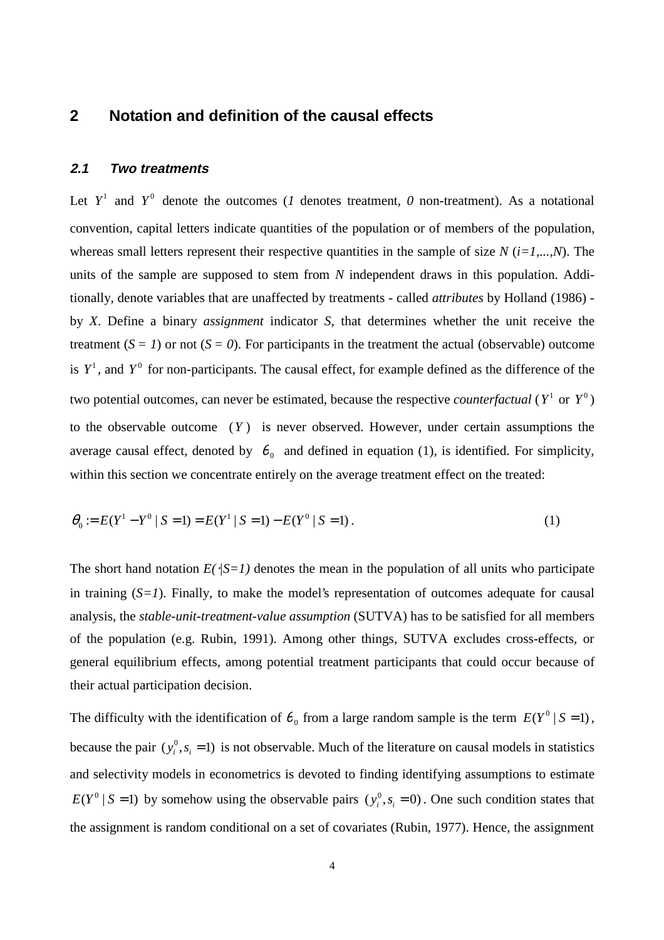#### **2 Notation and definition of the causal effects**

#### **2.1 Two treatments**

Let  $Y^1$  and  $Y^0$  denote the outcomes (*1* denotes treatment, *0* non-treatment). As a notational convention, capital letters indicate quantities of the population or of members of the population, whereas small letters represent their respective quantities in the sample of size  $N(i=1,...,N)$ . The units of the sample are supposed to stem from *N* independent draws in this population. Additionally, denote variables that are unaffected by treatments - called *attributes* by Holland (1986) by *X*. Define a binary *assignment* indicator *S*, that determines whether the unit receive the treatment  $(S = I)$  or not  $(S = 0)$ . For participants in the treatment the actual (observable) outcome is  $Y^1$ , and  $Y^0$  for non-participants. The causal effect, for example defined as the difference of the two potential outcomes, can never be estimated, because the respective *counterfactual* ( $Y^1$  or  $Y^0$ ) to the observable outcome (*Y* ) is never observed. However, under certain assumptions the average causal effect, denoted by  $\theta_0$  and defined in equation (1), is identified. For simplicity, within this section we concentrate entirely on the average treatment effect on the treated:

$$
\theta_0 := E(Y^1 - Y^0 \mid S = 1) = E(Y^1 \mid S = 1) - E(Y^0 \mid S = 1).
$$
\n(1)

The short hand notation  $E(\sqrt{S} = I)$  denotes the mean in the population of all units who participate in training (*S=1*). Finally, to make the model's representation of outcomes adequate for causal analysis, the *stable-unit-treatment-value assumption* (SUTVA) has to be satisfied for all members of the population (e.g. Rubin, 1991). Among other things, SUTVA excludes cross-effects, or general equilibrium effects, among potential treatment participants that could occur because of their actual participation decision.

The difficulty with the identification of  $\theta_0$  from a large random sample is the term  $E(Y^0 | S = 1)$ , because the pair  $(y_i^0, s_i = 1)$  is not observable. Much of the literature on causal models in statistics and selectivity models in econometrics is devoted to finding identifying assumptions to estimate  $E(Y^0 | S = 1)$  by somehow using the observable pairs  $(y_i^0, s_i = 0)$ . One such condition states that the assignment is random conditional on a set of covariates (Rubin, 1977). Hence, the assignment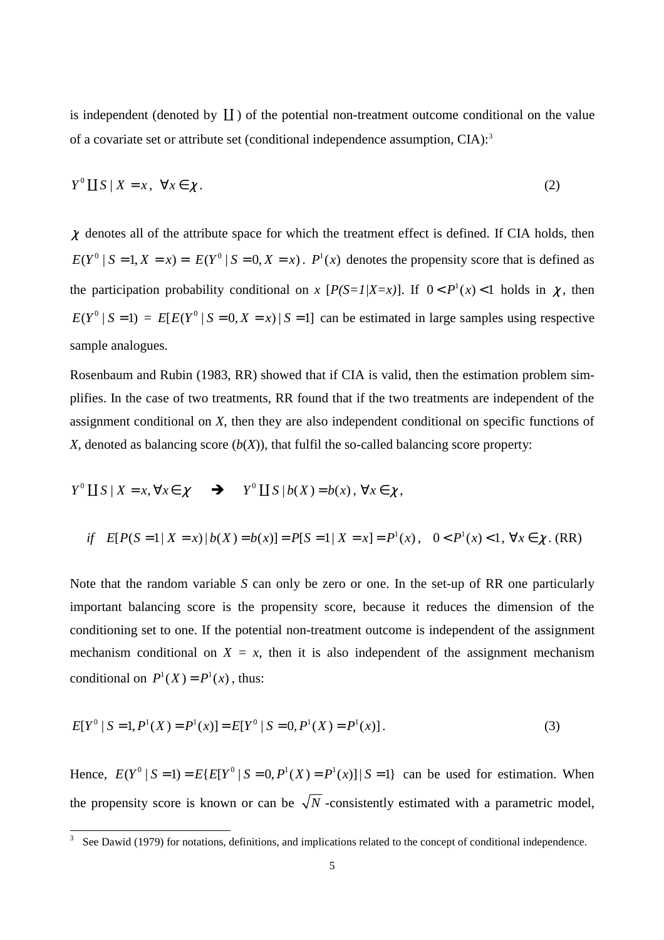is independent (denoted by  $\coprod$  ) of the potential non-treatment outcome conditional on the value of a covariate set or attribute set (conditional independence assumption, CIA):<sup>3</sup>

$$
Y^0 \coprod S \mid X = x, \ \forall x \in \chi. \tag{2}
$$

 $\chi$  denotes all of the attribute space for which the treatment effect is defined. If CIA holds, then  $E(Y^0 | S = 1, X = x) = E(Y^0 | S = 0, X = x)$ .  $P^1(x)$  denotes the propensity score that is defined as the participation probability conditional on *x*  $[P(S=1|X=x)]$ . If  $0 < P^1(x) < 1$  holds in  $\chi$ , then  $E(Y^0 | S = 1) = E[E(Y^0 | S = 0, X = x) | S = 1]$  can be estimated in large samples using respective sample analogues.

Rosenbaum and Rubin (1983, RR) showed that if CIA is valid, then the estimation problem simplifies. In the case of two treatments, RR found that if the two treatments are independent of the assignment conditional on *X*, then they are also independent conditional on specific functions of *X*, denoted as balancing score  $(b(X))$ , that fulfil the so-called balancing score property:

$$
Y^0 \coprod S \mid X = x, \forall x \in \chi \qquad \Rightarrow \qquad Y^0 \coprod S \mid b(X) = b(x), \forall x \in \chi,
$$

 $\overline{a}$ 

if 
$$
E[P(S=1 | X = x) | b(X) = b(x)] = P[S=1 | X = x] = P^1(x), \quad 0 < P^1(x) < 1, \forall x \in \chi
$$
. (RR)

Note that the random variable *S* can only be zero or one. In the set-up of RR one particularly important balancing score is the propensity score, because it reduces the dimension of the conditioning set to one. If the potential non-treatment outcome is independent of the assignment mechanism conditional on  $X = x$ , then it is also independent of the assignment mechanism conditional on  $P^1(X) = P^1(x)$ , thus:

$$
E[Y^{0} | S = 1, P^{1}(X) = P^{1}(x)] = E[Y^{0} | S = 0, P^{1}(X) = P^{1}(x)].
$$
\n(3)

Hence,  $E(Y^0 | S = 1) = E\{E[Y^0 | S = 0, P^1(X) = P^1(x)] | S = 1\}$  can be used for estimation. When the propensity score is known or can be  $\sqrt{N}$  -consistently estimated with a parametric model,

<sup>3</sup> See Dawid (1979) for notations, definitions, and implications related to the concept of conditional independence.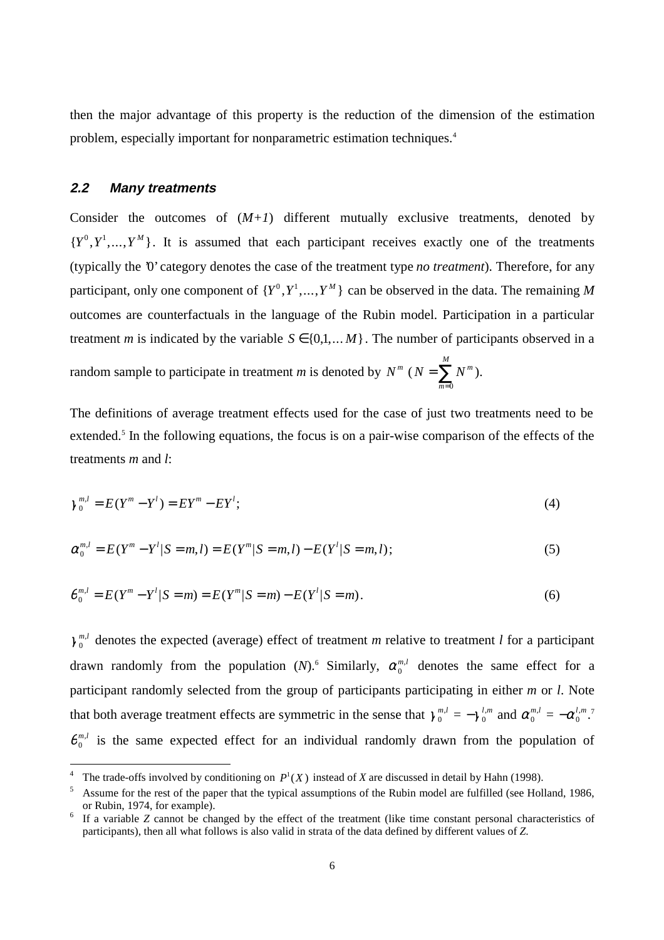then the major advantage of this property is the reduction of the dimension of the estimation problem, especially important for nonparametric estimation techniques.<sup>4</sup>

#### **2.2 Many treatments**

-

Consider the outcomes of  $(M+1)$  different mutually exclusive treatments, denoted by  ${Y^0, Y^1, ..., Y^M}$ . It is assumed that each participant receives exactly one of the treatments (typically the '0' category denotes the case of the treatment type *no treatment*). Therefore, for any participant, only one component of  $\{Y^0, Y^1, ..., Y^M\}$  can be observed in the data. The remaining M outcomes are counterfactuals in the language of the Rubin model. Participation in a particular treatment *m* is indicated by the variable  $S \in \{0, 1, \dots M\}$ . The number of participants observed in a random sample to participate in treatment *m* is denoted by  $N^m$  ( $N = \sum N^m$ *M* =  $\sum_{m=0}$ ).

The definitions of average treatment effects used for the case of just two treatments need to be extended.<sup>5</sup> In the following equations, the focus is on a pair-wise comparison of the effects of the treatments *m* and *l*:

*m*

$$
\gamma_0^{m,l} = E(Y^m - Y^l) = EY^m - EY^l; \tag{4}
$$

$$
\alpha_0^{m,l} = E(Y^m - Y^l | S = m, l) = E(Y^m | S = m, l) - E(Y^l | S = m, l); \tag{5}
$$

$$
\theta_0^{m,l} = E(Y^m - Y^l | S = m) = E(Y^m | S = m) - E(Y^l | S = m).
$$
\n(6)

 $\gamma_0^{m,l}$  denotes the expected (average) effect of treatment *m* relative to treatment *l* for a participant drawn randomly from the population  $(N)$ .<sup>6</sup> Similarly,  $\alpha_0^{m,l}$  denotes the same effect for a participant randomly selected from the group of participants participating in either *m* or *l*. Note that both average treatment effects are symmetric in the sense that  $\gamma_0^{m,l} = -\gamma_0^{l,m}$  and  $\alpha_0^{m,l} = -\alpha_0^{l,m}$ .<sup>7</sup>  $\theta_0^{m,l}$  is the same expected effect for an individual randomly drawn from the population of

<sup>4</sup> The trade-offs involved by conditioning on  $P^1(X)$  instead of *X* are discussed in detail by Hahn (1998).

<sup>5</sup> Assume for the rest of the paper that the typical assumptions of the Rubin model are fulfilled (see Holland, 1986, or Rubin, 1974, for example).

If a variable *Z* cannot be changed by the effect of the treatment (like time constant personal characteristics of participants), then all what follows is also valid in strata of the data defined by different values of *Z*.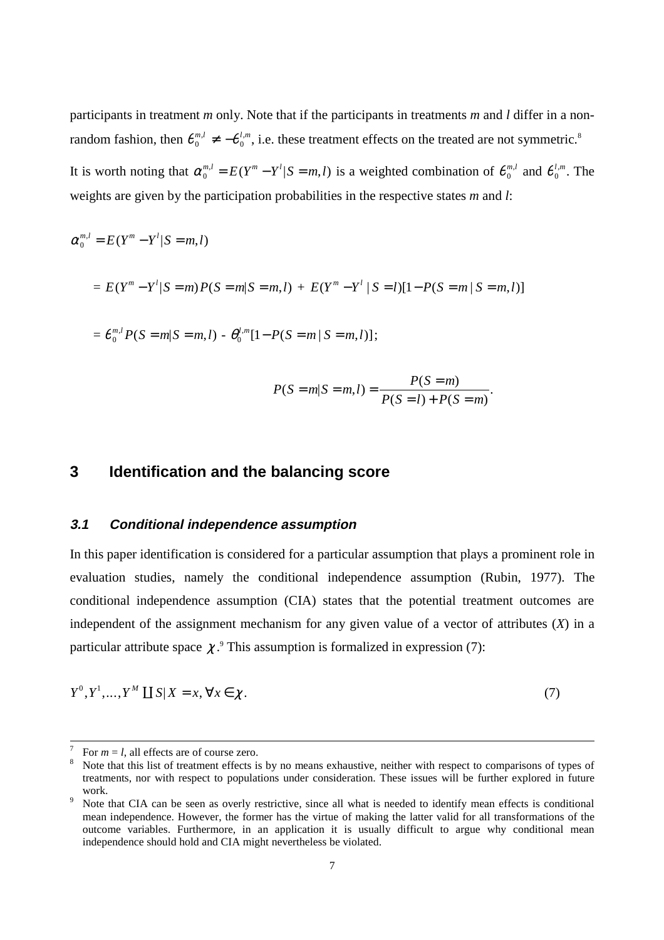participants in treatment *m* only. Note that if the participants in treatments *m* and *l* differ in a nonrandom fashion, then  $\theta_0^{m,l} \neq -\theta_0^{l,m}$ , i.e. these treatment effects on the treated are not symmetric.<sup>8</sup> It is worth noting that  $\alpha_0^{m,l} = E(Y^m - Y^l | S = m, l)$  is a weighted combination of  $\theta_0^{m,l}$  and  $\theta_0^{l,m}$ . The

weights are given by the participation probabilities in the respective states *m* and *l*:

$$
\alpha_0^{m,l} = E(Y^m - Y^l | S = m, l)
$$
  
=  $E(Y^m - Y^l | S = m)P(S = m | S = m, l) + E(Y^m - Y^l | S = l)[1 - P(S = m | S = m, l)]$ 

$$
= \theta_0^{m,l} P(S = m|S = m, l) - \theta_0^{l,m} [1 - P(S = m | S = m, l)];
$$

$$
P(S = m | S = m, l) = \frac{P(S = m)}{P(S = l) + P(S = m)}.
$$

### **3 Identification and the balancing score**

#### **3.1 Conditional independence assumption**

In this paper identification is considered for a particular assumption that plays a prominent role in evaluation studies, namely the conditional independence assumption (Rubin, 1977). The conditional independence assumption (CIA) states that the potential treatment outcomes are independent of the assignment mechanism for any given value of a vector of attributes (*X*) in a particular attribute space  $\chi$ .<sup>9</sup> This assumption is formalized in expression (7):

$$
Y^0, Y^1, \dots, Y^M \coprod S | X = x, \forall x \in \chi. \tag{7}
$$

 $\frac{1}{7}$ For  $m = l$ , all effects are of course zero.

Note that this list of treatment effects is by no means exhaustive, neither with respect to comparisons of types of treatments, nor with respect to populations under consideration. These issues will be further explored in future work.

Note that CIA can be seen as overly restrictive, since all what is needed to identify mean effects is conditional mean independence. However, the former has the virtue of making the latter valid for all transformations of the outcome variables. Furthermore, in an application it is usually difficult to argue why conditional mean independence should hold and CIA might nevertheless be violated.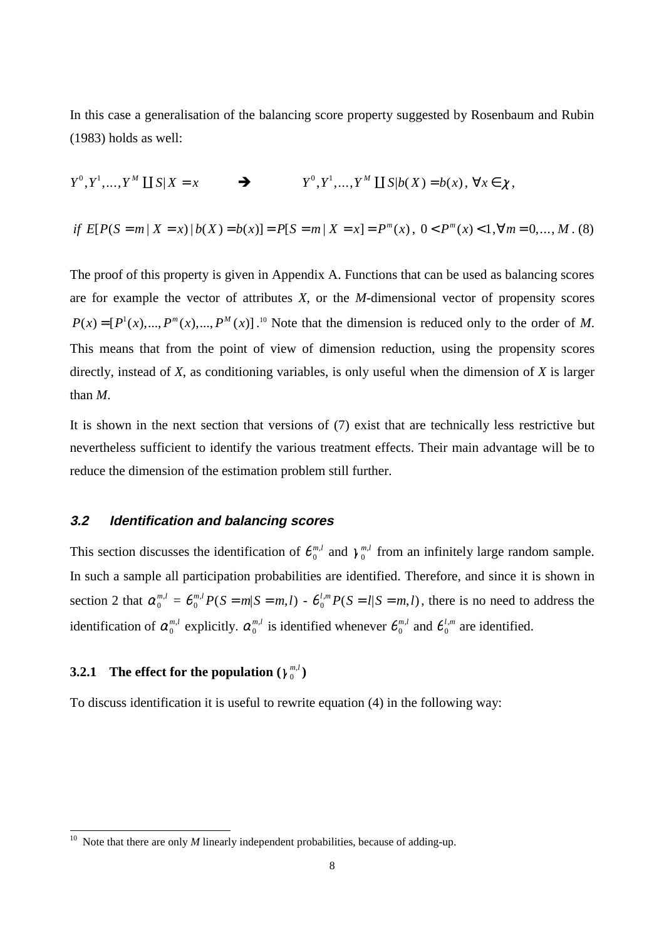In this case a generalisation of the balancing score property suggested by Rosenbaum and Rubin (1983) holds as well:

 $Y^0, Y^1, \ldots, Y^M \coprod S | X = x$   $\longrightarrow$   $Y^0, Y^1, \ldots, Y^M \coprod S | b(X) = b(x), \forall x \in \chi$ ,

 *if*  $E[P(S = m | X = x) | b(X) = b(x)] = P[S = m | X = x] = P^{m}(x), \quad 0 < P^{m}(x) < 1, \forall m = 0, \ldots, M$ . (8)

The proof of this property is given in Appendix A. Functions that can be used as balancing scores are for example the vector of attributes *X*, or the *M-*dimensional vector of propensity scores  $P(x) = [P^1(x),..., P^m(x),..., P^M(x)]$ .<sup>10</sup> Note that the dimension is reduced only to the order of *M*. This means that from the point of view of dimension reduction, using the propensity scores directly, instead of *X*, as conditioning variables, is only useful when the dimension of *X* is larger than *M*.

It is shown in the next section that versions of (7) exist that are technically less restrictive but nevertheless sufficient to identify the various treatment effects. Their main advantage will be to reduce the dimension of the estimation problem still further.

#### **3.2 Identification and balancing scores**

This section discusses the identification of  $\theta_0^{m,l}$  and  $\gamma_0^{m,l}$  from an infinitely large random sample. In such a sample all participation probabilities are identified. Therefore, and since it is shown in section 2 that  $\alpha_0^{m,l} = \theta_0^{m,l} P(S = m|S = m, l) - \theta_0^{l,m} P(S = l|S = m, l)$ , there is no need to address the identification of  $\alpha_0^{m,l}$  explicitly.  $\alpha_0^{m,l}$  is identified whenever  $\theta_0^{m,l}$  and  $\theta_0^{l,m}$  are identified.

## **3.2.1** The effect for the population  $(\gamma_0^{m,l})$

 $\overline{a}$ 

To discuss identification it is useful to rewrite equation (4) in the following way:

<sup>&</sup>lt;sup>10</sup> Note that there are only *M* linearly independent probabilities, because of adding-up.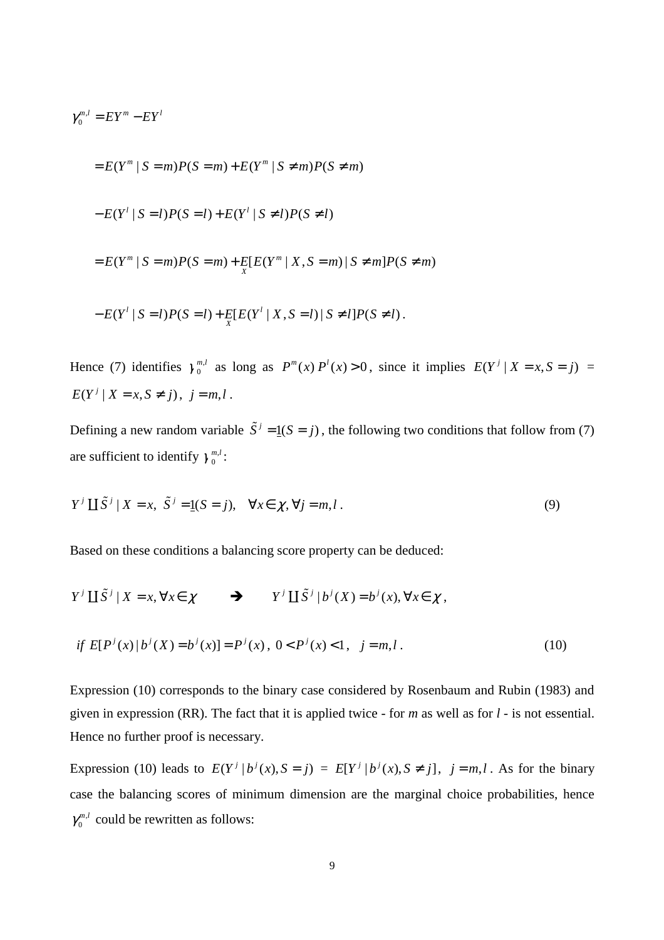$$
\gamma_0^{m,l} = EY^m - EY^l
$$
  
=  $E(Y^m | S = m)P(S = m) + E(Y^m | S \neq m)P(S \neq m)$   
 $- E(Y^l | S = l)P(S = l) + E(Y^l | S \neq l)P(S \neq l)$   
=  $E(Y^m | S = m)P(S = m) + E[E(Y^m | X, S = m) | S \neq m]P(S \neq m)$   
 $- E(Y^l | S = l)P(S = l) + E[E(Y^l | X, S = l) | S \neq l]P(S \neq l).$ 

Hence (7) identifies  $\gamma_0^{m,l}$  as long as  $P^m(x) P^l(x) > 0$ , since it implies  $E(Y^j | X = x, S = j) =$  $E(Y^{j} | X = x, S \neq j), j = m, l$ .

Defining a new random variable  $\tilde{S}^j = \underline{1}(S = j)$ , the following two conditions that follow from (7) are sufficient to identify  $\gamma_0^{m,l}$ :

$$
Y^{j} \coprod \tilde{S}^{j} | X = x, \ \tilde{S}^{j} = \underline{1}(S = j), \quad \forall x \in \chi, \forall j = m, l \,.
$$

Based on these conditions a balancing score property can be deduced:

$$
Y^{j} \coprod \tilde{S}^{j} | X = x, \forall x \in \chi \qquad \Rightarrow \qquad Y^{j} \coprod \tilde{S}^{j} | b^{j}(X) = b^{j}(x), \forall x \in \chi,
$$
  
if  $E[P^{j}(x)|b^{j}(X) = b^{j}(x)] = P^{j}(x), 0 < P^{j}(x) < 1, j = m, l.$  (10)

Expression (10) corresponds to the binary case considered by Rosenbaum and Rubin (1983) and 
$$
\frac{1}{2}
$$

given in expression (RR). The fact that it is applied twice - for *m* as well as for *l* - is not essential. Hence no further proof is necessary.

Expression (10) leads to  $E(Y^j | b^j(x), S = j) = E[Y^j | b^j(x), S \neq j]$ ,  $j = m, l$ . As for the binary case the balancing scores of minimum dimension are the marginal choice probabilities, hence ,  $\gamma_0^{m,l}$  could be rewritten as follows: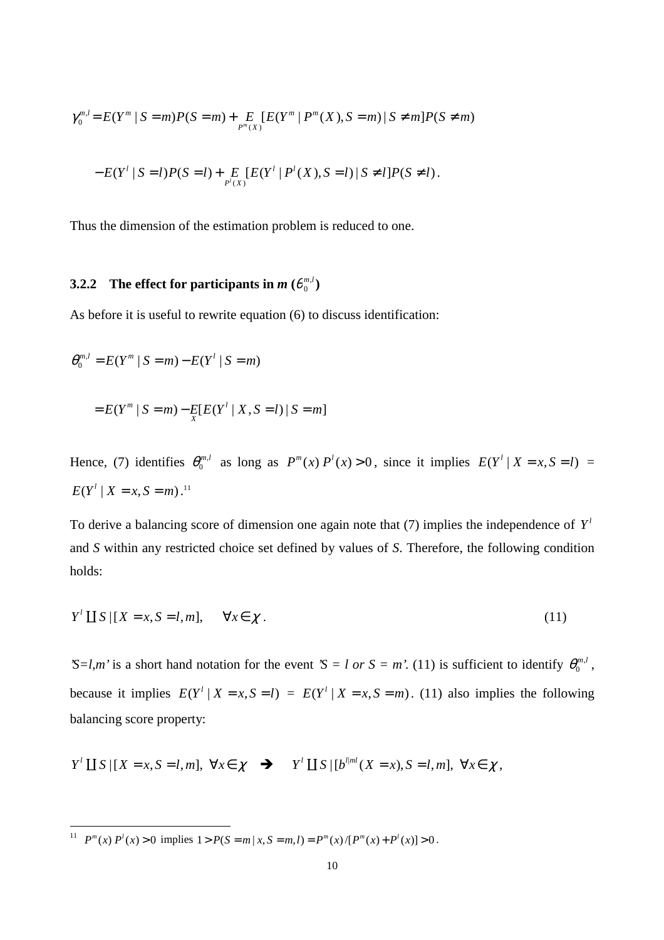$$
\gamma_0^{m,l} = E(Y^m \mid S = m)P(S = m) + \sum_{P^m(X)} [E(Y^m \mid P^m(X), S = m) \mid S \neq m]P(S \neq m)
$$

$$
-E(Y^l \mid S = l)P(S = l) + \sum_{P^l(X)} [E(Y^l \mid P^l(X), S = l) \mid S \neq l]P(S \neq l).
$$

Thus the dimension of the estimation problem is reduced to one.

## **3.2.2** The effect for participants in  $m(\theta_0^{m,l})$

As before it is useful to rewrite equation (6) to discuss identification:

$$
\theta_0^{m,l} = E(Y^m \mid S = m) - E(Y^l \mid S = m)
$$
  
=  $E(Y^m \mid S = m) - E[E(Y^l \mid X, S = l) \mid S = m]$ 

Hence, (7) identifies  $\theta_0^{m,l}$  as long as  $P^m(x) P^l(x) > 0$ , since it implies  $E(Y^l | X = x, S = l)$  $E(Y^l | X = x, S = m)$ .<sup>11</sup>

To derive a balancing score of dimension one again note that (7) implies the independence of  $Y<sup>l</sup>$ and *S* within any restricted choice set defined by values of *S*. Therefore, the following condition holds:

$$
Y^l \coprod S \mid [X = x, S = l, m], \quad \forall x \in \chi.
$$
\n
$$
(11)
$$

*'S=l,m'* is a short hand notation for the event *'S = l or S = m'*. (11) is sufficient to identify  $\theta_0^{m,l}$ , because it implies  $E(Y^l | X = x, S = l) = E(Y^l | X = x, S = m)$ . (11) also implies the following balancing score property:

 $Y' \coprod S | [ X = x, S = l, m ], \ \forall x \in \mathcal{X} \quad \Rightarrow \quad Y' \coprod S | [ b^{l,m} (X = x), S = l, m ], \ \forall x \in \mathcal{X}$ ,

 $\overline{a}$ 

<sup>&</sup>lt;sup>11</sup>  $P^m(x) P^l(x) > 0$  implies  $1 > P(S = m | x, S = m, l) = P^m(x) / [P^m(x) + P^l(x)] > 0$ .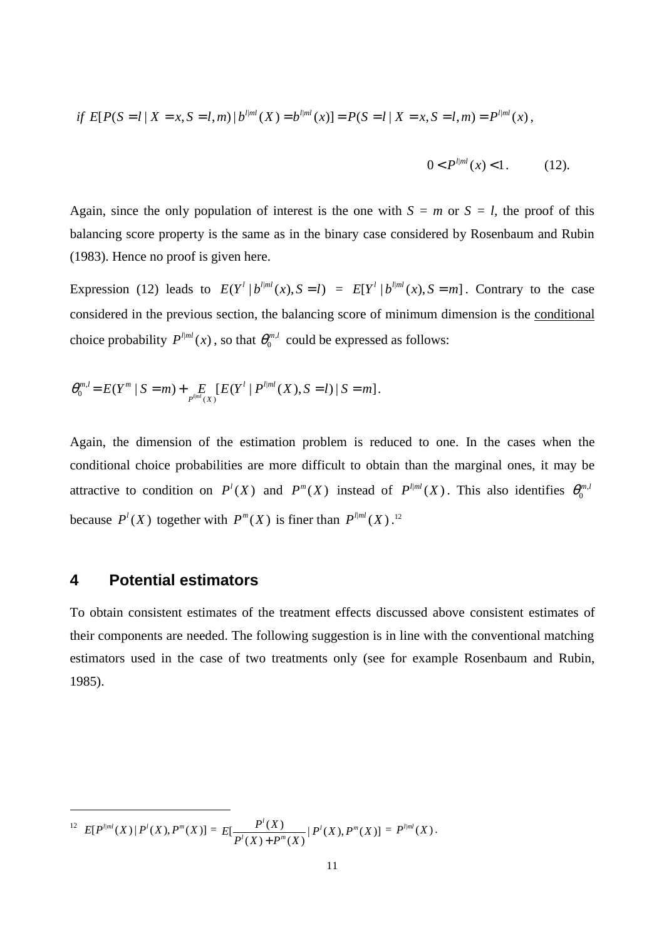if 
$$
E[P(S = l | X = x, S = l, m) | b^{l | ml}(X) = b^{l | ml}(x)] = P(S = l | X = x, S = l, m) = P^{l | ml}(x)
$$
,

$$
0 < P^{l|ml}(x) < 1. \tag{12}
$$

Again, since the only population of interest is the one with  $S = m$  or  $S = l$ , the proof of this balancing score property is the same as in the binary case considered by Rosenbaum and Rubin (1983). Hence no proof is given here.

Expression (12) leads to  $E(Y^l | b^{l|ml}(x), S = l) = E[Y^l | b^{l|ml}(x), S = m]$ . Contrary to the case considered in the previous section, the balancing score of minimum dimension is the conditional choice probability  $P^{l|ml}(x)$ , so that  $\theta_0^{m,l}$  could be expressed as follows:

$$
\theta_0^{m,l} = E(Y^m \mid S = m) + \sum_{P^{\text{full}}(X)} [E(Y^l \mid P^{\text{full}}(X), S = l) \mid S = m].
$$

Again, the dimension of the estimation problem is reduced to one. In the cases when the conditional choice probabilities are more difficult to obtain than the marginal ones, it may be attractive to condition on  $P^l(X)$  and  $P^m(X)$  instead of  $P^{l|ml}(X)$ . This also identifies  $\theta_0^{m,l}$ because  $P^l(X)$  together with  $P^m(X)$  is finer than  $P^{l,ml}(X)$ .<sup>12</sup>

#### **4 Potential estimators**

 $\overline{a}$ 

To obtain consistent estimates of the treatment effects discussed above consistent estimates of their components are needed. The following suggestion is in line with the conventional matching estimators used in the case of two treatments only (see for example Rosenbaum and Rubin, 1985).

 $\left\{ \begin{aligned} &E[P^{\ell|ml}(X)\,|\,P^l(X),P^m(X)] = E[\frac{P^l(X)}{P^l(X)+P^m(X)}\,|\,P^l(X),P^m(X)] \right\} \end{aligned}$  $E[\frac{P^l(X)}{P^l(X) + P^m(X)}| \cdot P^l(X), P^m(X)] \equiv P^{l | ml}(X) \, .$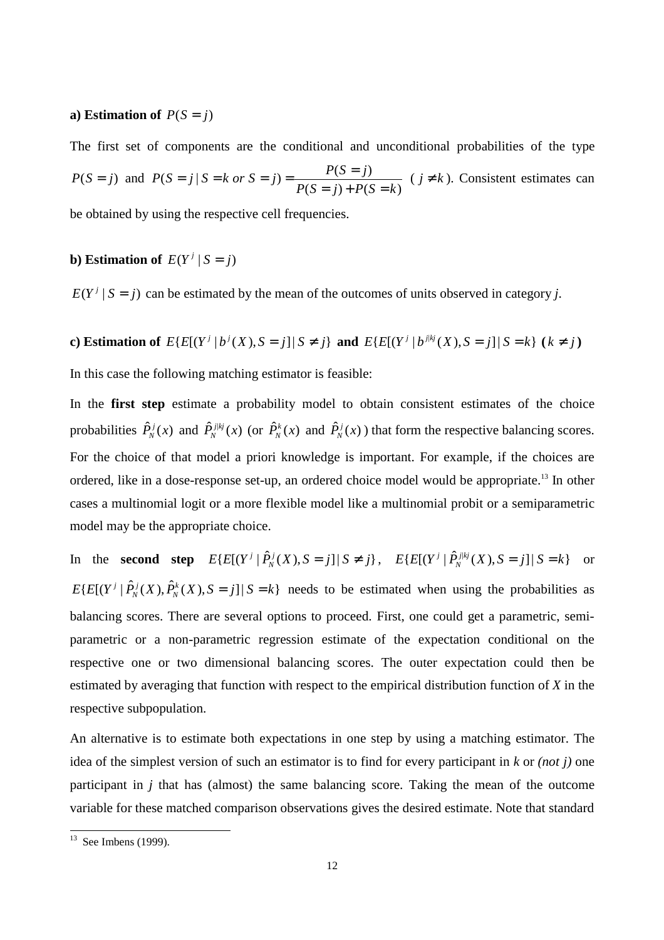#### **a)** Estimation of  $P(S = j)$

The first set of components are the conditional and unconditional probabilities of the type  $P(S = j)$  and  $P(S = j | S = k \text{ or } S = j) = \frac{P(S = j)}{P(S = j) + P(S = k)}$  (  $j \neq k$  ). Consistent estimates can

be obtained by using the respective cell frequencies.

#### **b**) **Estimation of**  $E(Y^j | S = j)$

 $E(Y^j | S = j)$  can be estimated by the mean of the outcomes of units observed in category *j*.

**c)** Estimation of  $E\{E[(Y^j | b^j(X), S = j] | S \neq j\}$  and  $E\{E[(Y^j | b^{j|k_j}(X), S = j] | S = k\}$  ( $k \neq j$ )

In this case the following matching estimator is feasible:

In the **first step** estimate a probability model to obtain consistent estimates of the choice probabilities  $\hat{P}_N^j(x)$  and  $\hat{P}_N^{j|k_j}(x)$  (or  $\hat{P}_N^k(x)$  and  $\hat{P}_N^j(x)$ ) that form the respective balancing scores. For the choice of that model a priori knowledge is important. For example, if the choices are ordered, like in a dose-response set-up, an ordered choice model would be appropriate.13 In other cases a multinomial logit or a more flexible model like a multinomial probit or a semiparametric model may be the appropriate choice.

In the **second step**  $E\{E[(Y^j | \hat{P}_N^j(X), S = j] | S \neq j\}, E\{E[(Y^j | \hat{P}_N^{j|kj}(X), S = j] | S = k\}$  or  $E\{E[(Y^j | \hat{P}_N^j(X), \hat{P}_N^k(X), S = j] | S = k\}$  needs to be estimated when using the probabilities as balancing scores. There are several options to proceed. First, one could get a parametric, semiparametric or a non-parametric regression estimate of the expectation conditional on the respective one or two dimensional balancing scores. The outer expectation could then be estimated by averaging that function with respect to the empirical distribution function of *X* in the respective subpopulation.

An alternative is to estimate both expectations in one step by using a matching estimator. The idea of the simplest version of such an estimator is to find for every participant in *k* or *(not j)* one participant in *j* that has (almost) the same balancing score. Taking the mean of the outcome variable for these matched comparison observations gives the desired estimate. Note that standard

 $\overline{a}$ 

 $13$  See Imbens (1999).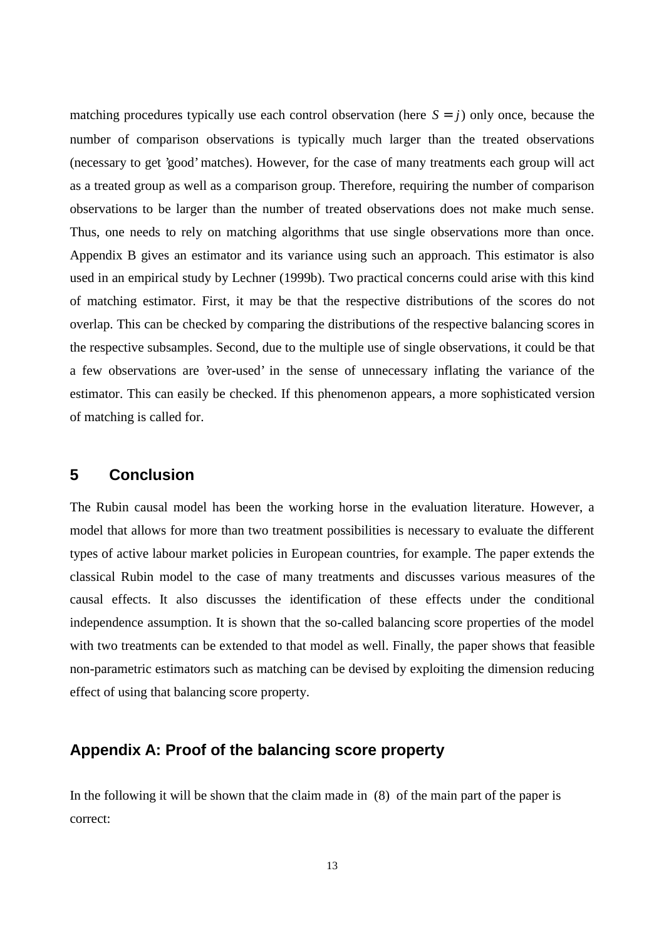matching procedures typically use each control observation (here  $S = j$ ) only once, because the number of comparison observations is typically much larger than the treated observations (necessary to get 'good' matches). However, for the case of many treatments each group will act as a treated group as well as a comparison group. Therefore, requiring the number of comparison observations to be larger than the number of treated observations does not make much sense. Thus, one needs to rely on matching algorithms that use single observations more than once. Appendix B gives an estimator and its variance using such an approach. This estimator is also used in an empirical study by Lechner (1999b). Two practical concerns could arise with this kind of matching estimator. First, it may be that the respective distributions of the scores do not overlap. This can be checked by comparing the distributions of the respective balancing scores in the respective subsamples. Second, due to the multiple use of single observations, it could be that a few observations are 'over-used' in the sense of unnecessary inflating the variance of the estimator. This can easily be checked. If this phenomenon appears, a more sophisticated version of matching is called for.

### **5 Conclusion**

The Rubin causal model has been the working horse in the evaluation literature. However, a model that allows for more than two treatment possibilities is necessary to evaluate the different types of active labour market policies in European countries, for example. The paper extends the classical Rubin model to the case of many treatments and discusses various measures of the causal effects. It also discusses the identification of these effects under the conditional independence assumption. It is shown that the so-called balancing score properties of the model with two treatments can be extended to that model as well. Finally, the paper shows that feasible non-parametric estimators such as matching can be devised by exploiting the dimension reducing effect of using that balancing score property.

## **Appendix A: Proof of the balancing score property**

In the following it will be shown that the claim made in (8) of the main part of the paper is correct: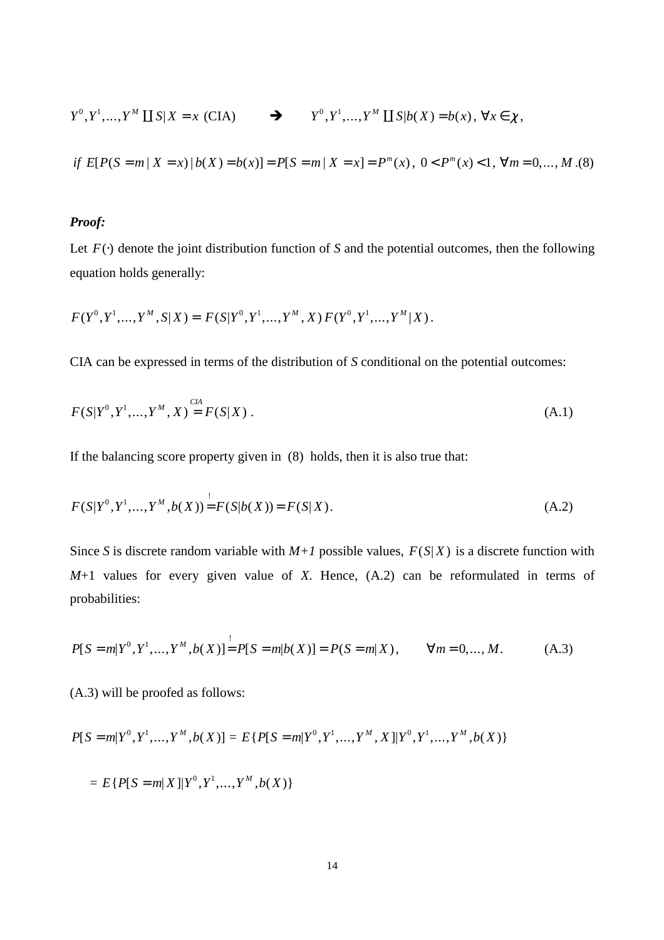$$
Y^{0}, Y^{1},..., Y^{M} \coprod S | X = x \text{ (CIA)} \qquad \longrightarrow \qquad Y^{0}, Y^{1},..., Y^{M} \coprod S | b(X) = b(x), \forall x \in \chi,
$$
  
if  $E[P(S = m | X = x) | b(X) = b(x)] = P[S = m | X = x] = P^{m}(x), \quad 0 < P^{m}(x) < 1, \forall m = 0,..., M. (8)$ 

#### *Proof:*

Let  $F(\cdot)$  denote the joint distribution function of *S* and the potential outcomes, then the following equation holds generally:

$$
F(Y^0, Y^1, \ldots, Y^M, S | X) = F(S | Y^0, Y^1, \ldots, Y^M, X) F(Y^0, Y^1, \ldots, Y^M | X).
$$

CIA can be expressed in terms of the distribution of *S* conditional on the potential outcomes:

$$
F(S|Y^0, Y^1, ..., Y^M, X) \stackrel{CIA}{=} F(S|X) .
$$
\n(A.1)

If the balancing score property given in (8) holds, then it is also true that:

$$
F(S|Y^0, Y^1, \dots, Y^M, b(X)) = F(S|b(X)) = F(S|X).
$$
\n(A.2)

Since *S* is discrete random variable with  $M+1$  possible values,  $F(S|X)$  is a discrete function with *M*+1 values for every given value of *X*. Hence, (A.2) can be reformulated in terms of probabilities:

$$
P[S=m|Y^0, Y^1, \dots, Y^M, b(X)] = P[S=m|b(X)] = P(S=m|X), \qquad \forall m = 0, \dots, M. \tag{A.3}
$$

(A.3) will be proofed as follows:

$$
P[S=m|Y^0, Y^1, \dots, Y^M, b(X)] = E\{P[S=m|Y^0, Y^1, \dots, Y^M, X]|Y^0, Y^1, \dots, Y^M, b(X)\}
$$

$$
= E\{P[S=m|X]|Y^0, Y^1, ..., Y^M, b(X)\}
$$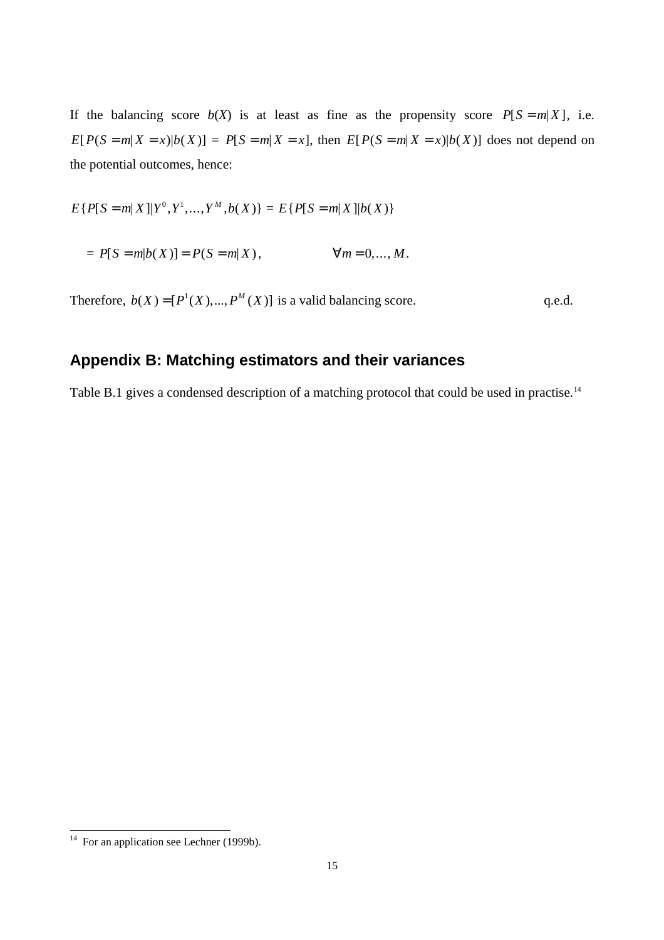If the balancing score  $b(X)$  is at least as fine as the propensity score  $P[S = m|X]$ , i.e.  $E[P(S=m|X=x)|b(X)] = P[S=m|X=x]$ , then  $E[P(S=m|X=x)|b(X)]$  does not depend on the potential outcomes, hence:

$$
E\{P[S=m|X]|Y^0, Y^1, ..., Y^M, b(X)\} = E\{P[S=m|X]|b(X)\}
$$

 $= P[S = m | b(X)] = P(S = m | X),$   $\forall m = 0,..., M.$ 

Therefore,  $b(X) = [P^1(X),..., P^M(X)]$  is a valid balancing score. q.e.d.

## **Appendix B: Matching estimators and their variances**

Table B.1 gives a condensed description of a matching protocol that could be used in practise.<sup>14</sup>

 $\overline{a}$ 

 $14$  For an application see Lechner (1999b).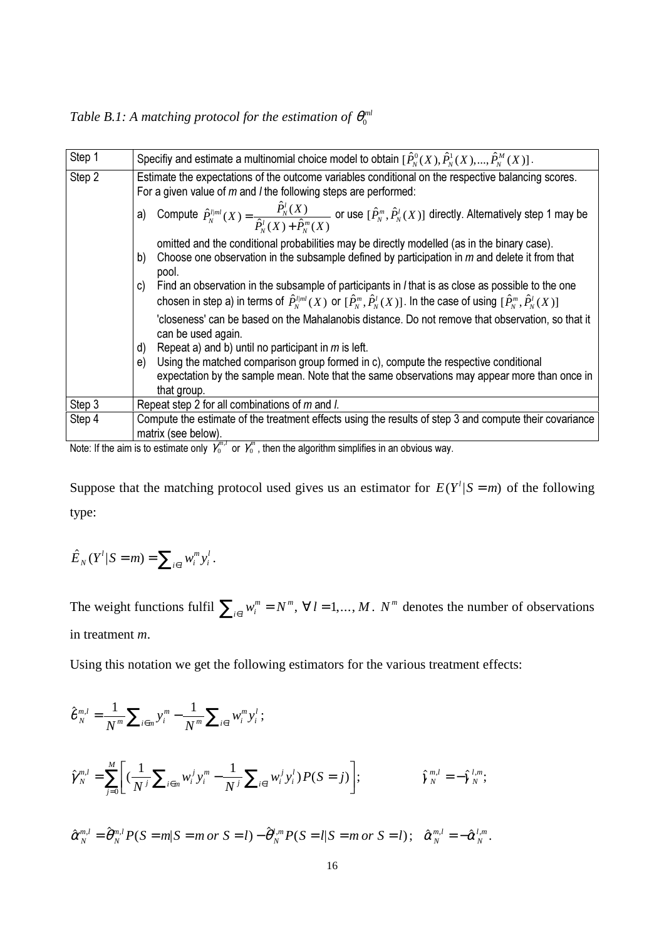*Table B.1:* A matching protocol for the estimation of  $\theta_0^{ml}$ 

| Step 1 | Specifiy and estimate a multinomial choice model to obtain $[\hat{P}_N^0(X), \hat{P}_N^1(X), , \hat{P}_N^M(X)]$ .                                                                                                                                                       |
|--------|-------------------------------------------------------------------------------------------------------------------------------------------------------------------------------------------------------------------------------------------------------------------------|
| Step 2 | Estimate the expectations of the outcome variables conditional on the respective balancing scores.<br>For a given value of $m$ and <i>I</i> the following steps are performed:                                                                                          |
|        | Compute $\hat{P}_N^{l ml}(X) = \frac{\hat{P}_N^l(X)}{\hat{P}_N^l(X) + \hat{P}_N^m(X)}$ or use $[\hat{P}_N^m, \hat{P}_N^l(X)]$ directly. Alternatively step 1 may be<br>a)                                                                                               |
|        | omitted and the conditional probabilities may be directly modelled (as in the binary case).<br>Choose one observation in the subsample defined by participation in $m$ and delete it from that<br>b)<br>pool.                                                           |
|        | Find an observation in the subsample of participants in <i>I</i> that is as close as possible to the one<br>C)<br>chosen in step a) in terms of $\hat{P}_N^{lml}(X)$ or $[\hat{P}_N^m,\hat{P}_N^l(X)]$ . In the case of using $[\hat{P}_N^m,\hat{P}_N^l(X)]$            |
|        | 'closeness' can be based on the Mahalanobis distance. Do not remove that observation, so that it<br>can be used again.                                                                                                                                                  |
|        | Repeat a) and b) until no participant in $m$ is left.<br>d)<br>Using the matched comparison group formed in c), compute the respective conditional<br>e)<br>expectation by the sample mean. Note that the same observations may appear more than once in<br>that group. |
| Step 3 | Repeat step 2 for all combinations of m and l.                                                                                                                                                                                                                          |
| Step 4 | Compute the estimate of the treatment effects using the results of step 3 and compute their covariance<br>matrix (see below).                                                                                                                                           |
|        |                                                                                                                                                                                                                                                                         |

Note: If the aim is to estimate only  $\gamma_0^{m,l}$  or  $\gamma_0^n$ , then the algorithm simplifies in an obvious way.

Suppose that the matching protocol used gives us an estimator for  $E(Y^l | S = m)$  of the following type:

$$
\hat{E}_N(Y^l|S=m)=\sum_{i\in I}w_i^m y_i^l.
$$

*N*

The weight functions fulfil  $\sum_{i \in I} w_i^m = N$ *i l*  $\sum_{i \in l} w_i^m = N^m$ ,  $\forall l = 1,..., M$ . *N*<sup>*m*</sup> denotes the number of observations in treatment *m*.

Using this notation we get the following estimators for the various treatment effects:

$$
\hat{\theta}_{N}^{m,l} = \frac{1}{N^{m}} \sum_{i \in m} y_{i}^{m} - \frac{1}{N^{m}} \sum_{i \in l} w_{i}^{m} y_{i}^{l};
$$
\n
$$
\hat{\gamma}_{N}^{m,l} = \sum_{j=0}^{M} \left[ \left( \frac{1}{N^{j}} \sum_{i \in m} w_{i}^{j} y_{i}^{m} - \frac{1}{N^{j}} \sum_{i \in l} w_{i}^{j} y_{i}^{l} \right) P(S = j) \right]; \qquad \hat{\gamma}_{N}^{m,l} = -\hat{\gamma}_{N}^{l,m};
$$
\n
$$
\hat{\alpha}_{N}^{m,l} = \hat{\theta}_{N}^{m,l} P(S = m | S = m \text{ or } S = l) - \hat{\theta}_{N}^{l,m} P(S = l | S = m \text{ or } S = l); \quad \hat{\alpha}_{N}^{m,l} = -\hat{\alpha}_{N}^{l,m}.
$$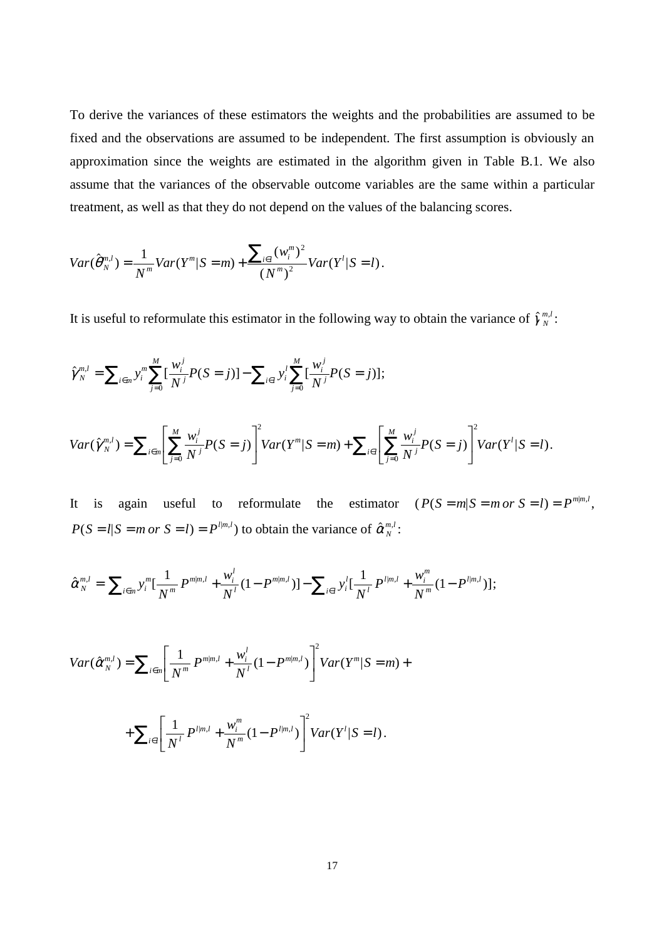To derive the variances of these estimators the weights and the probabilities are assumed to be fixed and the observations are assumed to be independent. The first assumption is obviously an approximation since the weights are estimated in the algorithm given in Table B.1. We also assume that the variances of the observable outcome variables are the same within a particular treatment, as well as that they do not depend on the values of the balancing scores.

$$
Var(\hat{\theta}_{N}^{m,l}) = \frac{1}{N^{m}}Var(Y^{m}|S=m) + \frac{\sum_{i\in I}(w_{i}^{m})^{2}}{(N^{m})^{2}}Var(Y^{l}|S=l).
$$

It is useful to reformulate this estimator in the following way to obtain the variance of  $\hat{\gamma}_{N}^{m,l}$ :

$$
\hat{\gamma}_{N}^{m,l} = \sum_{i \in m} y_{i}^{m} \sum_{j=0}^{M} \left[ \frac{w_{i}^{j}}{N^{j}} P(S=j) \right] - \sum_{i \in l} y_{i}^{l} \sum_{j=0}^{M} \left[ \frac{w_{i}^{j}}{N^{j}} P(S=j) \right];
$$

$$
Var(\hat{\gamma}_{N}^{m,l}) = \sum_{i \in m} \left[ \sum_{j=0}^{M} \frac{w_{i}^{j}}{N^{j}} P(S=j) \right]^{2} Var(Y^{m}|S=m) + \sum_{i \in l} \left[ \sum_{j=0}^{M} \frac{w_{i}^{j}}{N^{j}} P(S=j) \right]^{2} Var(Y^{l}|S=l).
$$

It is again useful to reformulate the estimator  $(P(S = m | S = m \text{ or } S = l)) = P^{m|m,l}$ ,  $P(S = l | S = m \text{ or } S = l) = P^{l|m,l}$  to obtain the variance of  $\hat{\alpha}_N^{m,l}$ :

$$
\hat{\alpha}_{N}^{m,l} = \sum_{i \in m} y_{i}^{m} [\frac{1}{N^{m}} P^{m|m,l} + \frac{w_{i}^{l}}{N^{l}} (1 - P^{m|m,l})] - \sum_{i \in l} y_{i}^{l} [\frac{1}{N^{l}} P^{l|m,l} + \frac{w_{i}^{m}}{N^{m}} (1 - P^{l|m,l})];
$$

$$
Var(\hat{\alpha}_{N}^{m,l}) = \sum_{i \in n} \left[ \frac{1}{N^{m}} P^{m|m,l} + \frac{w_{i}^{l}}{N^{l}} (1 - P^{m|m,l}) \right]^{2} Var(Y^{m}|S = m) +
$$
  
+ 
$$
\sum_{i \in l} \left[ \frac{1}{N^{l}} P^{l|m,l} + \frac{w_{i}^{m}}{N^{m}} (1 - P^{l|m,l}) \right]^{2} Var(Y^{l}|S = l).
$$